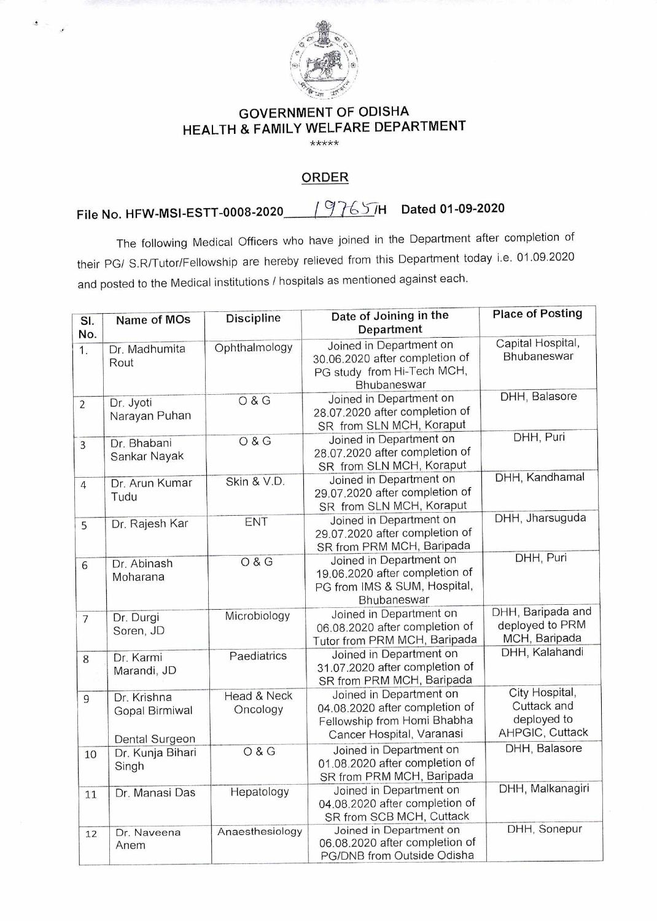

## GOVERNMENT OF ODISHA HEALTH & FAMILY WELFARE DEPARTMENT

\*\*\*\*\*

## ORDER

## File No. HFW-MSI-ESTT-0008-2020 9 7C, **-7-H Dated 01-09-2020**

The following Medical Officers who have joined in the Department after completion of their PG/ S.R/Tutor/Fellowship are hereby relieved from this Department today i.e. 01.09.2020 and posted to the Medical institutions / hospitals as mentioned against each.

| SI.<br>No.       | Name of MOs                                     | <b>Discipline</b>       | Date of Joining in the<br>Department                                                                                  | <b>Place of Posting</b>                                         |
|------------------|-------------------------------------------------|-------------------------|-----------------------------------------------------------------------------------------------------------------------|-----------------------------------------------------------------|
| $\overline{1}$ . | Dr. Madhumita<br>Rout                           | Ophthalmology           | Joined in Department on<br>30.06.2020 after completion of<br>PG study from Hi-Tech MCH,<br>Bhubaneswar                | Capital Hospital,<br>Bhubaneswar                                |
| $\overline{2}$   | Dr. Jyoti<br>Narayan Puhan                      | O & G                   | Joined in Department on<br>28.07.2020 after completion of<br>SR from SLN MCH, Koraput                                 | DHH, Balasore                                                   |
| $\overline{3}$   | Dr. Bhabani<br>Sankar Nayak                     | O & G                   | Joined in Department on<br>28.07.2020 after completion of<br>SR from SLN MCH, Koraput                                 | DHH, Puri                                                       |
| $\overline{4}$   | Dr. Arun Kumar<br>Tudu                          | Skin & V.D.             | Joined in Department on<br>29.07.2020 after completion of<br>SR from SLN MCH, Koraput                                 | DHH, Kandhamal                                                  |
| 5                | Dr. Rajesh Kar                                  | ENT                     | Joined in Department on<br>29.07.2020 after completion of<br>SR from PRM MCH, Baripada                                | DHH, Jharsuguda                                                 |
| 6                | Dr. Abinash<br>Moharana                         | <b>O&amp;G</b>          | Joined in Department on<br>19.06.2020 after completion of<br>PG from IMS & SUM, Hospital,<br>Bhubaneswar              | DHH, Puri                                                       |
| $\overline{7}$   | Dr. Durgi<br>Soren, JD                          | Microbiology            | Joined in Department on<br>06.08.2020 after completion of<br>Tutor from PRM MCH, Baripada                             | DHH, Baripada and<br>deployed to PRM<br>MCH, Baripada           |
| 8                | Dr. Karmi<br>Marandi, JD                        | Paediatrics             | Joined in Department on<br>31.07.2020 after completion of<br>SR from PRM MCH, Baripada                                | DHH, Kalahandi                                                  |
| 9                | Dr. Krishna<br>Gopal Birmiwal<br>Dental Surgeon | Head & Neck<br>Oncology | Joined in Department on<br>04.08.2020 after completion of<br>Fellowship from Homi Bhabha<br>Cancer Hospital, Varanasi | City Hospital,<br>Cuttack and<br>deployed to<br>AHPGIC, Cuttack |
| 10               | Dr. Kunja Bihari<br>Singh                       | <b>O&amp;G</b>          | Joined in Department on<br>01.08.2020 after completion of<br>SR from PRM MCH, Baripada                                | DHH, Balasore                                                   |
| 11               | Dr. Manasi Das                                  | Hepatology              | Joined in Department on<br>04.08.2020 after completion of<br>SR from SCB MCH, Cuttack                                 | DHH, Malkanagiri                                                |
| 12               | Dr. Naveena<br>Anem                             | Anaesthesiology         | Joined in Department on<br>06.08.2020 after completion of<br>PG/DNB from Outside Odisha                               | DHH, Sonepur                                                    |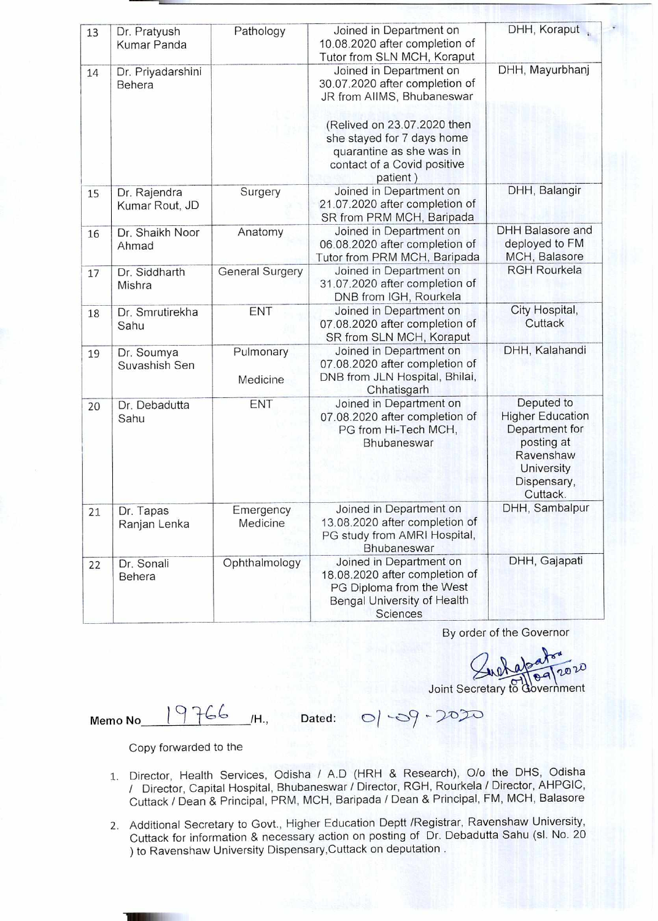| 13 | Dr. Pratyush<br>Kumar Panda    | Pathology              | Joined in Department on<br>10.08.2020 after completion of                                                                                                                                                                                      | DHH, Koraput                                                                                                                |
|----|--------------------------------|------------------------|------------------------------------------------------------------------------------------------------------------------------------------------------------------------------------------------------------------------------------------------|-----------------------------------------------------------------------------------------------------------------------------|
| 14 | Dr. Priyadarshini<br>Behera    |                        | Tutor from SLN MCH, Koraput<br>Joined in Department on<br>30.07.2020 after completion of<br>JR from AIIMS, Bhubaneswar<br>(Relived on 23.07.2020 then<br>she stayed for 7 days home<br>quarantine as she was in<br>contact of a Covid positive | DHH, Mayurbhanj                                                                                                             |
| 15 | Dr. Rajendra<br>Kumar Rout, JD | Surgery                | patient)<br>Joined in Department on<br>21.07.2020 after completion of<br>SR from PRM MCH, Baripada                                                                                                                                             | DHH, Balangir                                                                                                               |
| 16 | Dr. Shaikh Noor<br>Ahmad       | Anatomy                | Joined in Department on<br>06.08.2020 after completion of<br>Tutor from PRM MCH, Baripada                                                                                                                                                      | <b>DHH Balasore and</b><br>deployed to FM<br>MCH, Balasore                                                                  |
| 17 | Dr. Siddharth<br>Mishra        | <b>General Surgery</b> | Joined in Department on<br>31.07.2020 after completion of<br>DNB from IGH, Rourkela                                                                                                                                                            | <b>RGH Rourkela</b>                                                                                                         |
| 18 | Dr. Smrutirekha<br>Sahu        | ENT                    | Joined in Department on<br>07.08.2020 after completion of<br>SR from SLN MCH, Koraput                                                                                                                                                          | City Hospital,<br>Cuttack                                                                                                   |
| 19 | Dr. Soumya<br>Suvashish Sen    | Pulmonary<br>Medicine  | Joined in Department on<br>07.08.2020 after completion of<br>DNB from JLN Hospital, Bhilai,<br>Chhatisgarh                                                                                                                                     | DHH, Kalahandi                                                                                                              |
| 20 | Dr. Debadutta<br>Sahu          | ENT                    | Joined in Department on<br>07.08.2020 after completion of<br>PG from Hi-Tech MCH,<br>Bhubaneswar                                                                                                                                               | Deputed to<br><b>Higher Education</b><br>Department for<br>posting at<br>Ravenshaw<br>University<br>Dispensary,<br>Cuttack. |
| 21 | Dr. Tapas<br>Ranjan Lenka      | Emergency<br>Medicine  | Joined in Department on<br>13.08.2020 after completion of<br>PG study from AMRI Hospital,<br>Bhubaneswar                                                                                                                                       | DHH, Sambalpur                                                                                                              |
| 22 | Dr. Sonali<br>Behera           | Ophthalmology          | Joined in Department on<br>18.08.2020 after completion of<br>PG Diploma from the West<br>Bengal University of Health<br>Sciences                                                                                                               | DHH, Gajapati                                                                                                               |

By order of the Governor

 $020$ Joint Secretary to Government

Memo No  $19766$  /H., Dated: 0

Copy forwarded to the

- 1. Director, Health Services, Odisha / A.D (HRH & Research), 0/0 the DHS, Odisha / Director, Capital Hospital, Bhubaneswar / Director, RGH, Rourkela / Director, AHPGIC, Cuttack / Dean & Principal, PRM, MCH, Baripada / Dean & Principal, FM, MCH, Balasore
- 2. Additional Secretary to Govt., Higher Education Deptt /Registrar, Ravenshaw University, Cuttack for information & necessary action on posting of Dr. Debadutta Sahu (sl. No. 20 ) to Ravenshaw University Dispensary,Cuttack on deputation .